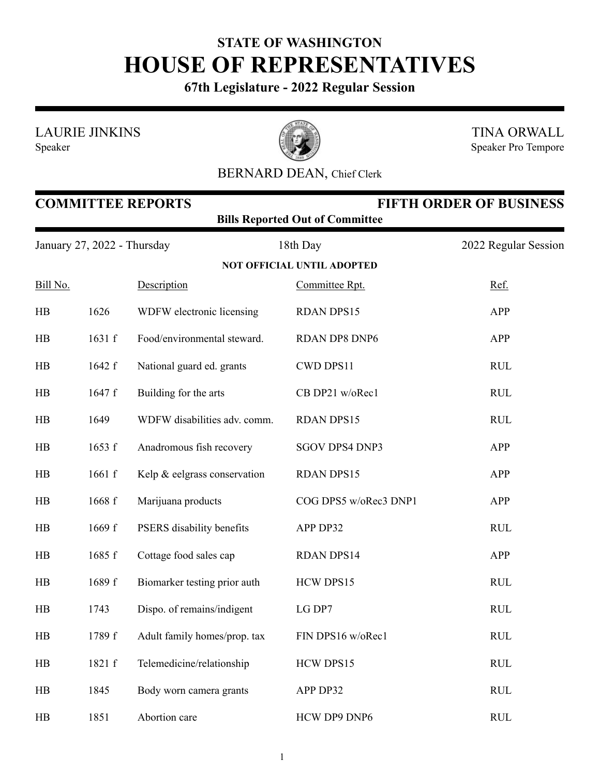## **STATE OF WASHINGTON HOUSE OF REPRESENTATIVES**

**67th Legislature - 2022 Regular Session**

LAURIE JINKINS

Speaker



TINA ORWALL Speaker Pro Tempore

## BERNARD DEAN, Chief Clerk

| <b>COMMITTEE REPORTS</b><br><b>FIFTH ORDER OF BUSINESS</b><br><b>Bills Reported Out of Committee</b> |        |                              |                                   |                      |  |  |  |
|------------------------------------------------------------------------------------------------------|--------|------------------------------|-----------------------------------|----------------------|--|--|--|
| January 27, 2022 - Thursday                                                                          |        |                              | 18th Day                          | 2022 Regular Session |  |  |  |
|                                                                                                      |        |                              | <b>NOT OFFICIAL UNTIL ADOPTED</b> |                      |  |  |  |
| Bill No.                                                                                             |        | Description                  | Committee Rpt.                    | Ref.                 |  |  |  |
| HB                                                                                                   | 1626   | WDFW electronic licensing    | <b>RDAN DPS15</b>                 | <b>APP</b>           |  |  |  |
| HB                                                                                                   | 1631 f | Food/environmental steward.  | RDAN DP8 DNP6                     | APP                  |  |  |  |
| HB                                                                                                   | 1642 f | National guard ed. grants    | CWD DPS11                         | <b>RUL</b>           |  |  |  |
| HB                                                                                                   | 1647 f | Building for the arts        | CB DP21 w/oRec1                   | <b>RUL</b>           |  |  |  |
| HB                                                                                                   | 1649   | WDFW disabilities adv. comm. | <b>RDAN DPS15</b>                 | <b>RUL</b>           |  |  |  |
| HB                                                                                                   | 1653 f | Anadromous fish recovery     | SGOV DPS4 DNP3                    | <b>APP</b>           |  |  |  |
| HB                                                                                                   | 1661 f | Kelp & eelgrass conservation | <b>RDAN DPS15</b>                 | APP                  |  |  |  |
| HB                                                                                                   | 1668 f | Marijuana products           | COG DPS5 w/oRec3 DNP1             | <b>APP</b>           |  |  |  |
| HB                                                                                                   | 1669 f | PSERS disability benefits    | APP DP32                          | <b>RUL</b>           |  |  |  |
| HB                                                                                                   | 1685 f | Cottage food sales cap       | <b>RDAN DPS14</b>                 | APP                  |  |  |  |
| HB                                                                                                   | 1689 f | Biomarker testing prior auth | HCW DPS15                         | <b>RUL</b>           |  |  |  |
| HB                                                                                                   | 1743   | Dispo. of remains/indigent   | LG DP7                            | <b>RUL</b>           |  |  |  |
| HB                                                                                                   | 1789 f | Adult family homes/prop. tax | FIN DPS16 w/oRec1                 | <b>RUL</b>           |  |  |  |
| HB                                                                                                   | 1821 f | Telemedicine/relationship    | HCW DPS15                         | <b>RUL</b>           |  |  |  |
| HB                                                                                                   | 1845   | Body worn camera grants      | APP DP32                          | <b>RUL</b>           |  |  |  |
| HB                                                                                                   | 1851   | Abortion care                | HCW DP9 DNP6                      | <b>RUL</b>           |  |  |  |